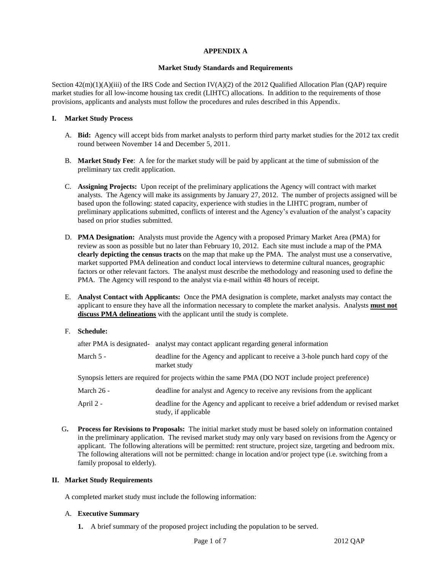### **APPENDIX A**

#### **Market Study Standards and Requirements**

Section  $42(m)(1)(A)(iii)$  of the IRS Code and Section IV(A)(2) of the 2012 Qualified Allocation Plan (QAP) require market studies for all low-income housing tax credit (LIHTC) allocations. In addition to the requirements of those provisions, applicants and analysts must follow the procedures and rules described in this Appendix.

#### **I. Market Study Process**

- A. **Bid:** Agency will accept bids from market analysts to perform third party market studies for the 2012 tax credit round between November 14 and December 5, 2011.
- B. **Market Study Fee**: A fee for the market study will be paid by applicant at the time of submission of the preliminary tax credit application.
- C. **Assigning Projects:** Upon receipt of the preliminary applications the Agency will contract with market analysts. The Agency will make its assignments by January 27, 2012. The number of projects assigned will be based upon the following: stated capacity, experience with studies in the LIHTC program, number of preliminary applications submitted, conflicts of interest and the Agency's evaluation of the analyst's capacity based on prior studies submitted.
- D. **PMA Designation:** Analysts must provide the Agency with a proposed Primary Market Area (PMA) for review as soon as possible but no later than February 10, 2012. Each site must include a map of the PMA **clearly depicting the census tracts** on the map that make up the PMA. The analyst must use a conservative, market supported PMA delineation and conduct local interviews to determine cultural nuances, geographic factors or other relevant factors. The analyst must describe the methodology and reasoning used to define the PMA. The Agency will respond to the analyst via e-mail within 48 hours of receipt.
- E. **Analyst Contact with Applicants:** Once the PMA designation is complete, market analysts may contact the applicant to ensure they have all the information necessary to complete the market analysis. Analysts **must not discuss PMA delineations** with the applicant until the study is complete.
- F. **Schedule:**

|              | after PMA is designated- analyst may contact applicant regarding general information                        |  |  |
|--------------|-------------------------------------------------------------------------------------------------------------|--|--|
| March $5 -$  | deadline for the Agency and applicant to receive a 3-hole punch hard copy of the<br>market study            |  |  |
|              | Synopsis letters are required for projects within the same PMA (DO NOT include project preference)          |  |  |
| March $26 -$ | deadline for analyst and Agency to receive any revisions from the applicant                                 |  |  |
| April 2 -    | deadline for the Agency and applicant to receive a brief addendum or revised market<br>study, if applicable |  |  |

G**. Process for Revisions to Proposals:** The initial market study must be based solely on information contained in the preliminary application. The revised market study may only vary based on revisions from the Agency or applicant. The following alterations will be permitted: rent structure, project size, targeting and bedroom mix. The following alterations will not be permitted: change in location and/or project type (i.e. switching from a family proposal to elderly).

### **II. Market Study Requirements**

A completed market study must include the following information:

#### A. **Executive Summary**

**1.** A brief summary of the proposed project including the population to be served.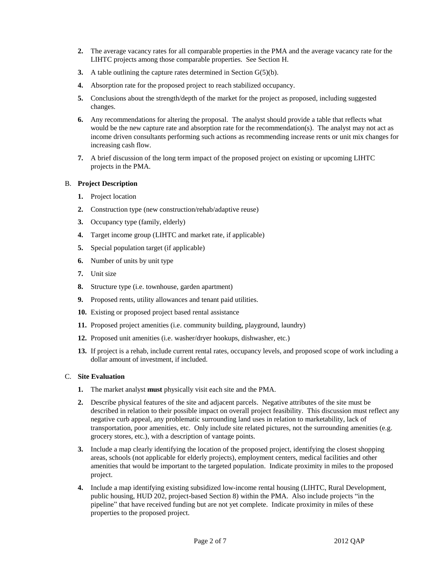- **2.** The average vacancy rates for all comparable properties in the PMA and the average vacancy rate for the LIHTC projects among those comparable properties. See Section H.
- **3.** A table outlining the capture rates determined in Section G(5)(b).
- **4.** Absorption rate for the proposed project to reach stabilized occupancy.
- **5.** Conclusions about the strength/depth of the market for the project as proposed, including suggested changes.
- **6.** Any recommendations for altering the proposal. The analyst should provide a table that reflects what would be the new capture rate and absorption rate for the recommendation(s). The analyst may not act as income driven consultants performing such actions as recommending increase rents or unit mix changes for increasing cash flow.
- **7.** A brief discussion of the long term impact of the proposed project on existing or upcoming LIHTC projects in the PMA.

## B. **Project Description**

- **1.** Project location
- **2.** Construction type (new construction/rehab/adaptive reuse)
- **3.** Occupancy type (family, elderly)
- **4.** Target income group (LIHTC and market rate, if applicable)
- **5.** Special population target (if applicable)
- **6.** Number of units by unit type
- **7.** Unit size
- **8.** Structure type (i.e. townhouse, garden apartment)
- **9.** Proposed rents, utility allowances and tenant paid utilities.
- **10.** Existing or proposed project based rental assistance
- **11.** Proposed project amenities (i.e. community building, playground, laundry)
- **12.** Proposed unit amenities (i.e. washer/dryer hookups, dishwasher, etc.)
- **13.** If project is a rehab, include current rental rates, occupancy levels, and proposed scope of work including a dollar amount of investment, if included.

# C. **Site Evaluation**

- **1.** The market analyst **must** physically visit each site and the PMA.
- **2.** Describe physical features of the site and adjacent parcels. Negative attributes of the site must be described in relation to their possible impact on overall project feasibility. This discussion must reflect any negative curb appeal, any problematic surrounding land uses in relation to marketability, lack of transportation, poor amenities, etc. Only include site related pictures, not the surrounding amenities (e.g. grocery stores, etc.), with a description of vantage points.
- **3.** Include a map clearly identifying the location of the proposed project, identifying the closest shopping areas, schools (not applicable for elderly projects), employment centers, medical facilities and other amenities that would be important to the targeted population. Indicate proximity in miles to the proposed project.
- **4.** Include a map identifying existing subsidized low-income rental housing (LIHTC, Rural Development, public housing, HUD 202, project-based Section 8) within the PMA. Also include projects "in the pipeline" that have received funding but are not yet complete. Indicate proximity in miles of these properties to the proposed project.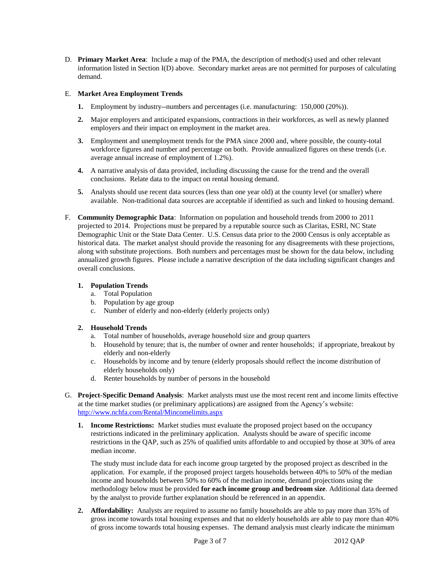D. **Primary Market Area**: Include a map of the PMA, the description of method(s) used and other relevant information listed in Section I(D) above. Secondary market areas are not permitted for purposes of calculating demand.

#### E. **Market Area Employment Trends**

- **1.** Employment by industry--numbers and percentages (i.e. manufacturing: 150,000 (20%)).
- **2.** Major employers and anticipated expansions, contractions in their workforces, as well as newly planned employers and their impact on employment in the market area.
- **3.** Employment and unemployment trends for the PMA since 2000 and, where possible, the county-total workforce figures and number and percentage on both. Provide annualized figures on these trends (i.e. average annual increase of employment of 1.2%).
- **4.** A narrative analysis of data provided, including discussing the cause for the trend and the overall conclusions. Relate data to the impact on rental housing demand.
- **5.** Analysts should use recent data sources (less than one year old) at the county level (or smaller) where available. Non-traditional data sources are acceptable if identified as such and linked to housing demand.
- F. **Community Demographic Data**: Information on population and household trends from 2000 to 2011 projected to 2014. Projections must be prepared by a reputable source such as Claritas, ESRI, NC State Demographic Unit or the State Data Center. U.S. Census data prior to the 2000 Census is only acceptable as historical data. The market analyst should provide the reasoning for any disagreements with these projections, along with substitute projections. Both numbers and percentages must be shown for the data below, including annualized growth figures. Please include a narrative description of the data including significant changes and overall conclusions.

### **1. Population Trends**

- a. Total Population
- b. Population by age group
- c. Number of elderly and non-elderly (elderly projects only)

#### **2. Household Trends**

- a. Total number of households, average household size and group quarters
- b. Household by tenure; that is, the number of owner and renter households; if appropriate, breakout by elderly and non-elderly
- c. Households by income and by tenure (elderly proposals should reflect the income distribution of elderly households only)
- d. Renter households by number of persons in the household
- G. **Project-Specific Demand Analysis**: Market analysts must use the most recent rent and income limits effective at the time market studies (or preliminary applications) are assigned from the Agency's website: <http://www.nchfa.com/Rental/Mincomelimits.aspx>
	- **1. Income Restrictions:** Market studies must evaluate the proposed project based on the occupancy restrictions indicated in the preliminary application. Analysts should be aware of specific income restrictions in the QAP, such as 25% of qualified units affordable to and occupied by those at 30% of area median income.

The study must include data for each income group targeted by the proposed project as described in the application. For example, if the proposed project targets households between 40% to 50% of the median income and households between 50% to 60% of the median income, demand projections using the methodology below must be provided **for each income group and bedroom size**. Additional data deemed by the analyst to provide further explanation should be referenced in an appendix.

**2. Affordability:** Analysts are required to assume no family households are able to pay more than 35% of gross income towards total housing expenses and that no elderly households are able to pay more than 40% of gross income towards total housing expenses. The demand analysis must clearly indicate the minimum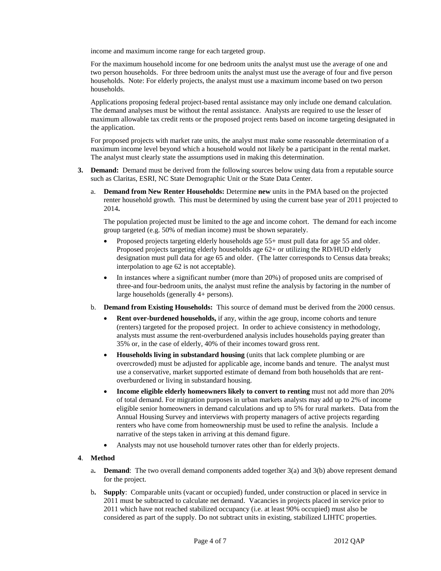income and maximum income range for each targeted group.

For the maximum household income for one bedroom units the analyst must use the average of one and two person households. For three bedroom units the analyst must use the average of four and five person households. Note: For elderly projects, the analyst must use a maximum income based on two person households.

Applications proposing federal project-based rental assistance may only include one demand calculation. The demand analyses must be without the rental assistance. Analysts are required to use the lesser of maximum allowable tax credit rents or the proposed project rents based on income targeting designated in the application.

For proposed projects with market rate units, the analyst must make some reasonable determination of a maximum income level beyond which a household would not likely be a participant in the rental market. The analyst must clearly state the assumptions used in making this determination.

- **3. Demand:** Demand must be derived from the following sources below using data from a reputable source such as Claritas, ESRI, NC State Demographic Unit or the State Data Center.
	- a. **Demand from New Renter Households:** Determine **new** units in the PMA based on the projected renter household growth. This must be determined by using the current base year of 2011 projected to 2014**.**

The population projected must be limited to the age and income cohort.The demand for each income group targeted (e.g. 50% of median income) must be shown separately.

- Proposed projects targeting elderly households age 55+ must pull data for age 55 and older. Proposed projects targeting elderly households age 62+ or utilizing the RD/HUD elderly designation must pull data for age 65 and older. (The latter corresponds to Census data breaks; interpolation to age 62 is not acceptable).
- In instances where a significant number (more than 20%) of proposed units are comprised of three-and four-bedroom units, the analyst must refine the analysis by factoring in the number of large households (generally 4+ persons).
- b. **Demand from Existing Households:** This source of demand must be derived from the 2000 census.
	- **Rent over-burdened households,** if any, within the age group, income cohorts and tenure (renters) targeted for the proposed project. In order to achieve consistency in methodology, analysts must assume the rent-overburdened analysis includes households paying greater than 35% or, in the case of elderly, 40% of their incomes toward gross rent.
	- **Households living in substandard housing** (units that lack complete plumbing or are overcrowded) must be adjusted for applicable age, income bands and tenure. The analyst must use a conservative, market supported estimate of demand from both households that are rentoverburdened or living in substandard housing.
	- **Income eligible elderly homeowners likely to convert to renting** must not add more than 20% of total demand. For migration purposes in urban markets analysts may add up to 2% of income eligible senior homeowners in demand calculations and up to 5% for rural markets. Data from the Annual Housing Survey and interviews with property managers of active projects regarding renters who have come from homeownership must be used to refine the analysis. Include a narrative of the steps taken in arriving at this demand figure.
	- Analysts may not use household turnover rates other than for elderly projects.

#### **4**. **Method**

- a**. Demand**: The two overall demand components added together 3(a) and 3(b) above represent demand for the project.
- b**. Supply**: Comparable units (vacant or occupied) funded, under construction or placed in service in 2011 must be subtracted to calculate net demand. Vacancies in projects placed in service prior to 2011 which have not reached stabilized occupancy (i.e. at least 90% occupied) must also be considered as part of the supply. Do not subtract units in existing, stabilized LIHTC properties.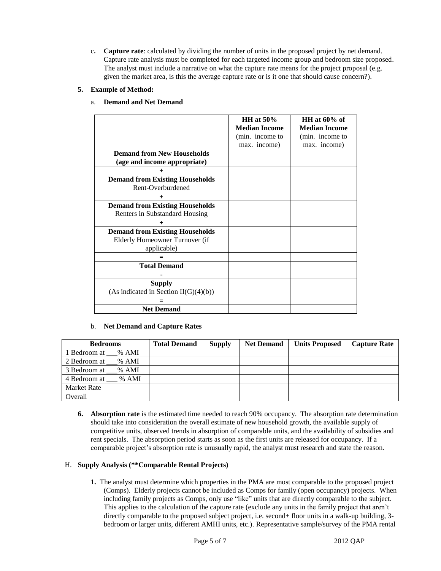c**. Capture rate**: calculated by dividing the number of units in the proposed project by net demand. Capture rate analysis must be completed for each targeted income group and bedroom size proposed. The analyst must include a narrative on what the capture rate means for the project proposal (e.g. given the market area, is this the average capture rate or is it one that should cause concern?).

# **5. Example of Method:**

|                                                                                         | HH at $50\%$<br><b>Median Income</b> | HH at $60\%$ of<br><b>Median Income</b> |
|-----------------------------------------------------------------------------------------|--------------------------------------|-----------------------------------------|
|                                                                                         | (min. income to                      | (min. income to                         |
|                                                                                         | max. income)                         | max. income)                            |
| <b>Demand from New Households</b>                                                       |                                      |                                         |
| (age and income appropriate)                                                            |                                      |                                         |
| $^{+}$                                                                                  |                                      |                                         |
| <b>Demand from Existing Households</b><br>Rent-Overburdened                             |                                      |                                         |
| $+$                                                                                     |                                      |                                         |
| <b>Demand from Existing Households</b><br>Renters in Substandard Housing                |                                      |                                         |
| $^{+}$                                                                                  |                                      |                                         |
| <b>Demand from Existing Households</b><br>Elderly Homeowner Turnover (if<br>applicable) |                                      |                                         |
|                                                                                         |                                      |                                         |
| <b>Total Demand</b>                                                                     |                                      |                                         |
|                                                                                         |                                      |                                         |
| <b>Supply</b><br>(As indicated in Section II(G)(4)(b))                                  |                                      |                                         |
|                                                                                         |                                      |                                         |
| <b>Net Demand</b>                                                                       |                                      |                                         |

# a. **Demand and Net Demand**

### b. **Net Demand and Capture Rates**

| <b>Bedrooms</b>    | <b>Total Demand</b> | <b>Supply</b> | <b>Net Demand</b> | <b>Units Proposed</b> | <b>Capture Rate</b> |
|--------------------|---------------------|---------------|-------------------|-----------------------|---------------------|
| 1 Bedroom at % AMI |                     |               |                   |                       |                     |
| 2 Bedroom at % AMI |                     |               |                   |                       |                     |
| 3 Bedroom at % AMI |                     |               |                   |                       |                     |
| 4 Bedroom at % AMI |                     |               |                   |                       |                     |
| <b>Market Rate</b> |                     |               |                   |                       |                     |
| Overall            |                     |               |                   |                       |                     |

**6. Absorption rate** is the estimated time needed to reach 90% occupancy. The absorption rate determination should take into consideration the overall estimate of new household growth, the available supply of competitive units, observed trends in absorption of comparable units, and the availability of subsidies and rent specials. The absorption period starts as soon as the first units are released for occupancy. If a comparable project's absorption rate is unusually rapid, the analyst must research and state the reason.

#### H. **Supply Analysis (\*\*Comparable Rental Projects)**

**1.** The analyst must determine which properties in the PMA are most comparable to the proposed project (Comps). Elderly projects cannot be included as Comps for family (open occupancy) projects. When including family projects as Comps, only use "like" units that are directly comparable to the subject. This applies to the calculation of the capture rate (exclude any units in the family project that aren't directly comparable to the proposed subject project, i.e. second+ floor units in a walk-up building, 3 bedroom or larger units, different AMHI units, etc.). Representative sample/survey of the PMA rental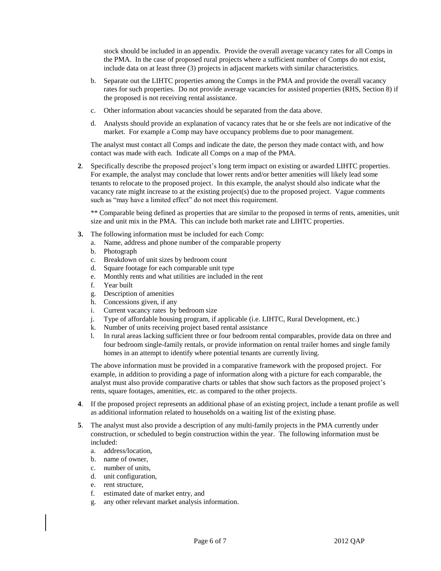stock should be included in an appendix. Provide the overall average vacancy rates for all Comps in the PMA. In the case of proposed rural projects where a sufficient number of Comps do not exist, include data on at least three (3) projects in adjacent markets with similar characteristics.

- b. Separate out the LIHTC properties among the Comps in the PMA and provide the overall vacancy rates for such properties. Do not provide average vacancies for assisted properties (RHS, Section 8) if the proposed is not receiving rental assistance.
- c. Other information about vacancies should be separated from the data above.
- d. Analysts should provide an explanation of vacancy rates that he or she feels are not indicative of the market. For example a Comp may have occupancy problems due to poor management.

The analyst must contact all Comps and indicate the date, the person they made contact with, and how contact was made with each. Indicate all Comps on a map of the PMA.

**2**. Specifically describe the proposed project's long term impact on existing or awarded LIHTC properties. For example, the analyst may conclude that lower rents and/or better amenities will likely lead some tenants to relocate to the proposed project. In this example, the analyst should also indicate what the vacancy rate might increase to at the existing project(s) due to the proposed project. Vague comments such as "may have a limited effect" do not meet this requirement.

\*\* Comparable being defined as properties that are similar to the proposed in terms of rents, amenities, unit size and unit mix in the PMA. This can include both market rate and LIHTC properties.

- **3.** The following information must be included for each Comp:
	- a. Name, address and phone number of the comparable property
	- b. Photograph
	- c. Breakdown of unit sizes by bedroom count
	- d. Square footage for each comparable unit type
	- e. Monthly rents and what utilities are included in the rent
	- f. Year built
	- g. Description of amenities
	- h. Concessions given, if any
	- i. Current vacancy rates by bedroom size
	- j. Type of affordable housing program, if applicable (i.e. LIHTC, Rural Development, etc.)
	- k. Number of units receiving project based rental assistance
	- l. In rural areas lacking sufficient three or four bedroom rental comparables, provide data on three and four bedroom single-family rentals, or provide information on rental trailer homes and single family homes in an attempt to identify where potential tenants are currently living.

The above information must be provided in a comparative framework with the proposed project. For example, in addition to providing a page of information along with a picture for each comparable, the analyst must also provide comparative charts or tables that show such factors as the proposed project's rents, square footages, amenities, etc. as compared to the other projects.

- **4**. If the proposed project represents an additional phase of an existing project, include a tenant profile as well as additional information related to households on a waiting list of the existing phase.
- **5**. The analyst must also provide a description of any multi-family projects in the PMA currently under construction, or scheduled to begin construction within the year. The following information must be included:
	- a. address/location,
	- b. name of owner,
	- c. number of units,
	- d. unit configuration,
	- e. rent structure,
	- f. estimated date of market entry, and
	- g. any other relevant market analysis information.